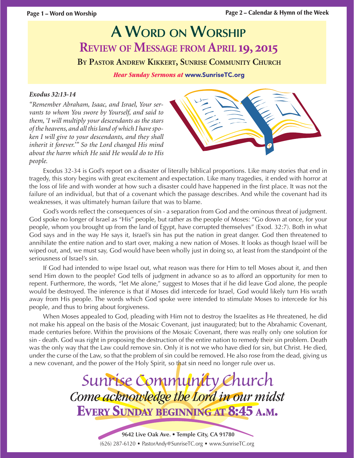# **A WORD ON WORSHIP REVIEW OF MESSAGE FROM APRIL 19, 2015**

**BY PASTOR ANDREW KIKKERT, SUNRISE COMMUNITY CHURCH**

*Hear Sunday Sermons at* www.SunriseTC.org

#### *Exodus 32:13-14*

*"Remember Abraham, Isaac, and Israel, Your servants to whom You swore by Yourself, and said to them, 'I will multiply your descendants as the stars of the heavens, and all this land of which I have spoken I will give to your descendants, and they shall inherit it forever.'" So the Lord changed His mind about the harm which He said He would do to His people.*



Exodus 32-34 is God's report on a disaster of literally biblical proportions. Like many stories that end in tragedy, this story begins with great excitement and expectation. Like many tragedies, it ended with horror at the loss of life and with wonder at how such a disaster could have happened in the first place. It was not the failure of an individual, but that of a covenant which the passage describes. And while the covenant had its weaknesses, it was ultimately human failure that was to blame.

God's words reflect the consequences of sin - a separation from God and the ominous threat of judgment. God spoke no longer of Israel as "His" people, but rather as the people of Moses: "Go down at once, for your people, whom you brought up from the land of Egypt, have corrupted themselves" (Exod. 32:7). Both in what God says and in the way He says it, Israel's sin has put the nation in great danger. God then threatened to annihilate the entire nation and to start over, making a new nation of Moses. It looks as though Israel will be wiped out, and, we must say, God would have been wholly just in doing so, at least from the standpoint of the seriousness of Israel's sin.

If God had intended to wipe Israel out, what reason was there for Him to tell Moses about it, and then send Him down to the people? God tells of judgment in advance so as to afford an opportunity for men to repent. Furthermore, the words, "let Me alone," suggest to Moses that if he did leave God alone, the people would be destroyed. The inference is that if Moses did intercede for Israel, God would likely turn His wrath away from His people. The words which God spoke were intended to stimulate Moses to intercede for his people, and thus to bring about forgiveness.

When Moses appealed to God, pleading with Him not to destroy the Israelites as He threatened, he did not make his appeal on the basis of the Mosaic Covenant, just inaugurated; but to the Abrahamic Covenant, made centuries before. Within the provisions of the Mosaic Covenant, there was really only one solution for sin - death. God was right in proposing the destruction of the entire nation to remedy their sin problem. Death was the only way that the Law could remove sin. Only it is not we who have died for sin, but Christ. He died, under the curse of the Law, so that the problem of sin could be removed. He also rose from the dead, giving us a new covenant, and the power of the Holy Spirit, so that sin need no longer rule over us.

> *Sunrise Community Church Come acknowledge the Lord in our midst* **EVERY SUNDAY BEGINNING AT 8:45 A.M.**

> > (626) 287-6120 • PastorAndy@SunriseTC.org • www.SunriseTC.org **9642 Live Oak Ave. • Temple City, CA 91780**